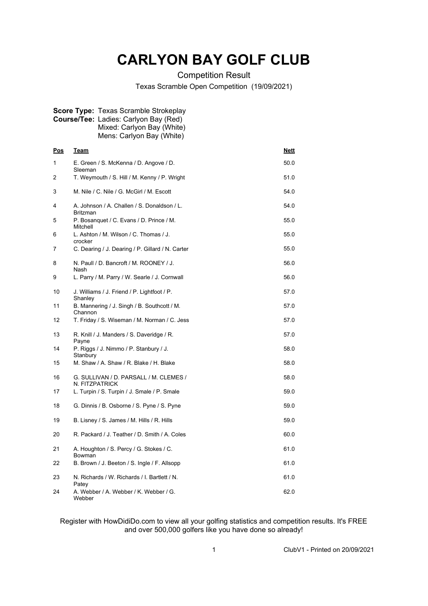## **CARLYON BAY GOLF CLUB**

Competition Result

Texas Scramble Open Competition (19/09/2021)

| <b>Course/Tee:</b> Ladies: Carlyon Bay (Red)<br>Mixed: Carlyon Bay (White)<br>Mens: Carlyon Bay (White) |                                                           |             |
|---------------------------------------------------------------------------------------------------------|-----------------------------------------------------------|-------------|
| <u>Pos</u>                                                                                              | <u>Team</u>                                               | <b>Nett</b> |
| 1                                                                                                       | E. Green / S. McKenna / D. Angove / D.<br>Sleeman         | 50.0        |
| 2                                                                                                       | T. Weymouth / S. Hill / M. Kenny / P. Wright              | 51.0        |
| 3                                                                                                       | M. Nile / C. Nile / G. McGirl / M. Escott                 | 54.0        |
| 4                                                                                                       | A. Johnson / A. Challen / S. Donaldson / L.<br>Britzman   | 54.0        |
| 5                                                                                                       | P. Bosanquet / C. Evans / D. Prince / M.<br>Mitchell      | 55.0        |
| 6                                                                                                       | L. Ashton / M. Wilson / C. Thomas / J.<br>crocker         | 55.0        |
| 7                                                                                                       | C. Dearing / J. Dearing / P. Gillard / N. Carter          | 55.0        |
| 8                                                                                                       | N. Paull / D. Bancroft / M. ROONEY / J.<br>Nash           | 56.0        |
| 9                                                                                                       | L. Parry / M. Parry / W. Searle / J. Cornwall             | 56.0        |
| 10                                                                                                      | J. Williams / J. Friend / P. Lightfoot / P.<br>Shanley    | 57.0        |
| 11                                                                                                      | B. Mannering / J. Singh / B. Southcott / M.<br>Channon    | 57.0        |
| 12                                                                                                      | T. Friday / S. Wiseman / M. Norman / C. Jess              | 57.0        |
| 13                                                                                                      | R. Knill / J. Manders / S. Daveridge / R.<br>Payne        | 57.0        |
| 14                                                                                                      | P. Riggs / J. Nimmo / P. Stanbury / J.<br>Stanbury        | 58.0        |
| 15                                                                                                      | M. Shaw / A. Shaw / R. Blake / H. Blake                   | 58.0        |
| 16                                                                                                      | G. SULLIVAN / D. PARSALL / M. CLEMES /<br>N. FITZPATRICK  | 58.0        |
| 17                                                                                                      | L. Turpin / S. Turpin / J. Smale / P. Smale               | 59.0        |
| 18                                                                                                      | G. Dinnis / B. Osborne / S. Pyne / S. Pyne                | 59.0        |
| 19                                                                                                      | B. Lisney / S. James / M. Hills / R. Hills                | 59.0        |
| 20                                                                                                      | R. Packard / J. Teather / D. Smith / A. Coles             | 60.0        |
| 21                                                                                                      | A. Houghton / S. Percy / G. Stokes / C.                   | 61.0        |
| 22                                                                                                      | Bowman<br>B. Brown / J. Beeton / S. Ingle / F. Allsopp    | 61.0        |
| 23                                                                                                      | N. Richards / W. Richards / I. Bartlett / N.              | 61.0        |
| 24                                                                                                      | Patey<br>A. Webber / A. Webber / K. Webber / G.<br>Webber | 62.0        |

**Score Type:** Texas Scramble Strokeplay

Register with HowDidiDo.com to view all your golfing statistics and competition results. It's FREE and over 500,000 golfers like you have done so already!